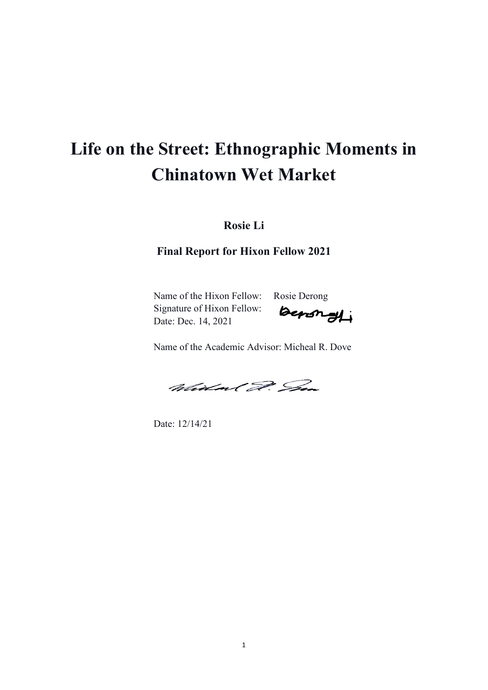# **Life on the Street: Ethnographic Moments in Chinatown Wet Market**

**Rosie Li**

**Final Report for Hixon Fellow 2021**

Name of the Hixon Fellow: Rosie Derong Signature of Hixon Fellow: Date: Dec. 14, 2021

benongli

Name of the Academic Advisor: Micheal R. Dove

Widow ( D. Sen

Date: 12/14/21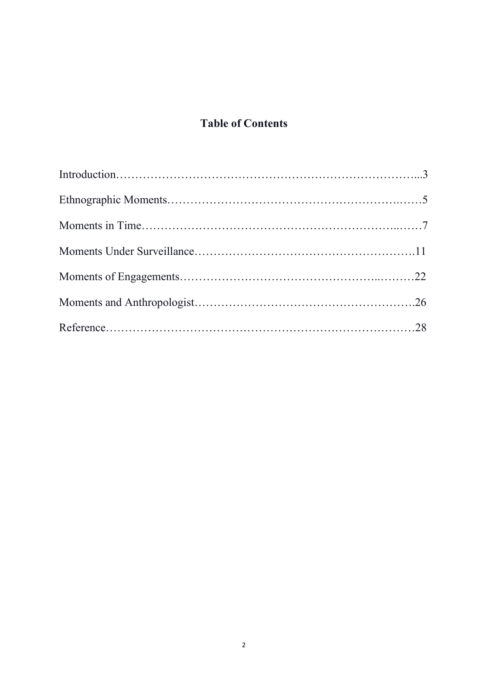# **Table of Contents**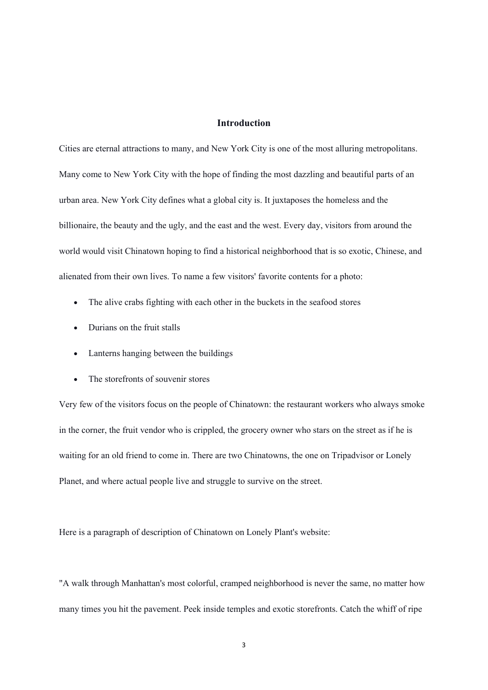# **Introduction**

Cities are eternal attractions to many, and New York City is one of the most alluring metropolitans. Many come to New York City with the hope of finding the most dazzling and beautiful parts of an urban area. New York City defines what a global city is. It juxtaposes the homeless and the billionaire, the beauty and the ugly, and the east and the west. Every day, visitors from around the world would visit Chinatown hoping to find a historical neighborhood that is so exotic, Chinese, and alienated from their own lives. To name a few visitors' favorite contents for a photo:

- The alive crabs fighting with each other in the buckets in the seafood stores
- Durians on the fruit stalls
- Lanterns hanging between the buildings
- The storefronts of souvenir stores

Very few of the visitors focus on the people of Chinatown: the restaurant workers who always smoke in the corner, the fruit vendor who is crippled, the grocery owner who stars on the street as if he is waiting for an old friend to come in. There are two Chinatowns, the one on Tripadvisor or Lonely Planet, and where actual people live and struggle to survive on the street.

Here is a paragraph of description of Chinatown on Lonely Plant's website:

"A walk through Manhattan's most colorful, cramped neighborhood is never the same, no matter how many times you hit the pavement. Peek inside temples and exotic storefronts. Catch the whiff of ripe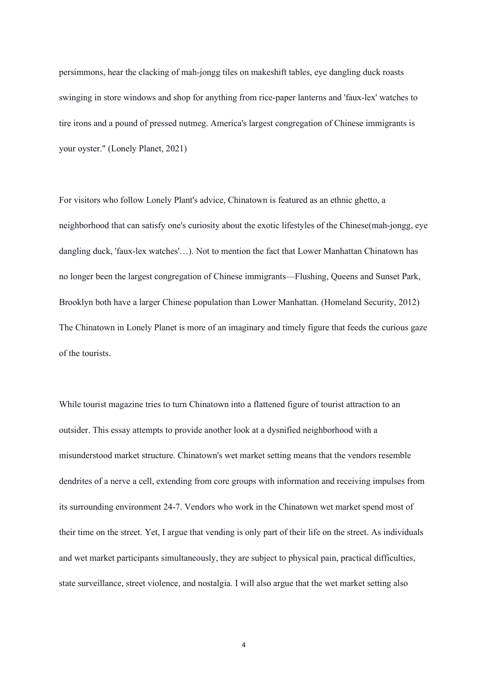persimmons, hear the clacking of mah-jongg tiles on makeshift tables, eye dangling duck roasts swinging in store windows and shop for anything from rice-paper lanterns and 'faux-lex' watches to tire irons and a pound of pressed nutmeg. America's largest congregation of Chinese immigrants is your oyster." (Lonely Planet, 2021)

For visitors who follow Lonely Plant's advice, Chinatown is featured as an ethnic ghetto, a neighborhood that can satisfy one's curiosity about the exotic lifestyles of the Chinese(mah-jongg, eye dangling duck, 'faux-lex watches'…). Not to mention the fact that Lower Manhattan Chinatown has no longer been the largest congregation of Chinese immigrants—Flushing, Queens and Sunset Park, Brooklyn both have a larger Chinese population than Lower Manhattan. (Homeland Security, 2012) The Chinatown in Lonely Planet is more of an imaginary and timely figure that feeds the curious gaze of the tourists.

While tourist magazine tries to turn Chinatown into a flattened figure of tourist attraction to an outsider. This essay attempts to provide another look at a dysnified neighborhood with a misunderstood market structure. Chinatown's wet market setting means that the vendors resemble dendrites of a nerve a cell, extending from core groups with information and receiving impulses from its surrounding environment 24-7. Vendors who work in the Chinatown wet market spend most of their time on the street. Yet, I argue that vending is only part of their life on the street. As individuals and wet market participants simultaneously, they are subject to physical pain, practical difficulties, state surveillance, street violence, and nostalgia. I will also argue that the wet market setting also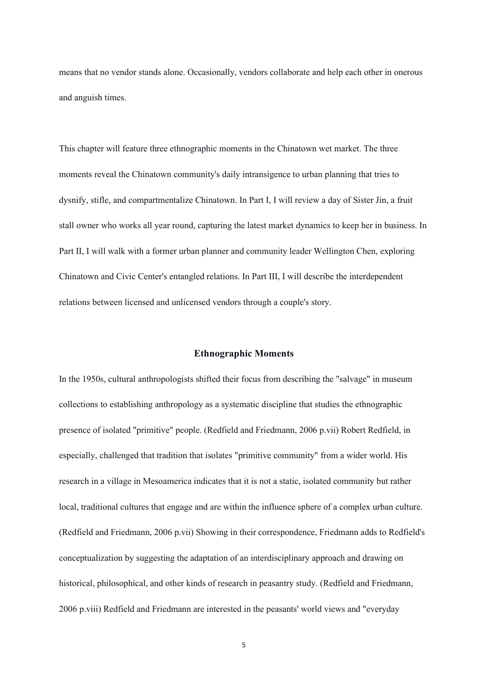means that no vendor stands alone. Occasionally, vendors collaborate and help each other in onerous and anguish times.

This chapter will feature three ethnographic moments in the Chinatown wet market. The three moments reveal the Chinatown community's daily intransigence to urban planning that tries to dysnify, stifle, and compartmentalize Chinatown. In Part I, I will review a day of Sister Jin, a fruit stall owner who works all year round, capturing the latest market dynamics to keep her in business. In Part II, I will walk with a former urban planner and community leader Wellington Chen, exploring Chinatown and Civic Center's entangled relations. In Part III, I will describe the interdependent relations between licensed and unlicensed vendors through a couple's story.

#### **Ethnographic Moments**

In the 1950s, cultural anthropologists shifted their focus from describing the "salvage" in museum collections to establishing anthropology as a systematic discipline that studies the ethnographic presence of isolated "primitive" people. (Redfield and Friedmann, 2006 p.vii) Robert Redfield, in especially, challenged that tradition that isolates "primitive community" from a wider world. His research in a village in Mesoamerica indicates that it is not a static, isolated community but rather local, traditional cultures that engage and are within the influence sphere of a complex urban culture. (Redfield and Friedmann, 2006 p.vii) Showing in their correspondence, Friedmann adds to Redfield's conceptualization by suggesting the adaptation of an interdisciplinary approach and drawing on historical, philosophical, and other kinds of research in peasantry study. (Redfield and Friedmann, 2006 p.viii) Redfield and Friedmann are interested in the peasants' world views and "everyday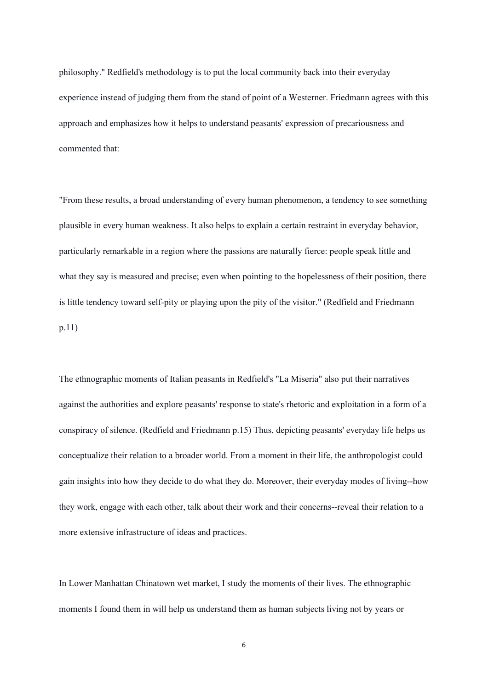philosophy." Redfield's methodology is to put the local community back into their everyday experience instead of judging them from the stand of point of a Westerner. Friedmann agrees with this approach and emphasizes how it helps to understand peasants' expression of precariousness and commented that:

"From these results, a broad understanding of every human phenomenon, a tendency to see something plausible in every human weakness. It also helps to explain a certain restraint in everyday behavior, particularly remarkable in a region where the passions are naturally fierce: people speak little and what they say is measured and precise; even when pointing to the hopelessness of their position, there is little tendency toward self-pity or playing upon the pity of the visitor." (Redfield and Friedmann p.11)

The ethnographic moments of Italian peasants in Redfield's "La Miseria" also put their narratives against the authorities and explore peasants' response to state's rhetoric and exploitation in a form of a conspiracy of silence. (Redfield and Friedmann p.15) Thus, depicting peasants' everyday life helps us conceptualize their relation to a broader world. From a moment in their life, the anthropologist could gain insights into how they decide to do what they do. Moreover, their everyday modes of living--how they work, engage with each other, talk about their work and their concerns--reveal their relation to a more extensive infrastructure of ideas and practices.

In Lower Manhattan Chinatown wet market, I study the moments of their lives. The ethnographic moments I found them in will help us understand them as human subjects living not by years or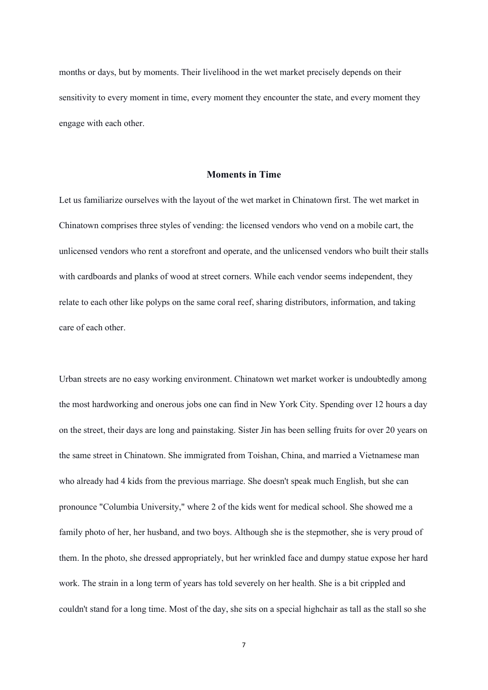months or days, but by moments. Their livelihood in the wet market precisely depends on their sensitivity to every moment in time, every moment they encounter the state, and every moment they engage with each other.

# **Moments in Time**

Let us familiarize ourselves with the layout of the wet market in Chinatown first. The wet market in Chinatown comprises three styles of vending: the licensed vendors who vend on a mobile cart, the unlicensed vendors who rent a storefront and operate, and the unlicensed vendors who built their stalls with cardboards and planks of wood at street corners. While each vendor seems independent, they relate to each other like polyps on the same coral reef, sharing distributors, information, and taking care of each other.

Urban streets are no easy working environment. Chinatown wet market worker is undoubtedly among the most hardworking and onerous jobs one can find in New York City. Spending over 12 hours a day on the street, their days are long and painstaking. Sister Jin has been selling fruits for over 20 years on the same street in Chinatown. She immigrated from Toishan, China, and married a Vietnamese man who already had 4 kids from the previous marriage. She doesn't speak much English, but she can pronounce "Columbia University," where 2 of the kids went for medical school. She showed me a family photo of her, her husband, and two boys. Although she is the stepmother, she is very proud of them. In the photo, she dressed appropriately, but her wrinkled face and dumpy statue expose her hard work. The strain in a long term of years has told severely on her health. She is a bit crippled and couldn't stand for a long time. Most of the day, she sits on a special highchair as tall as the stall so she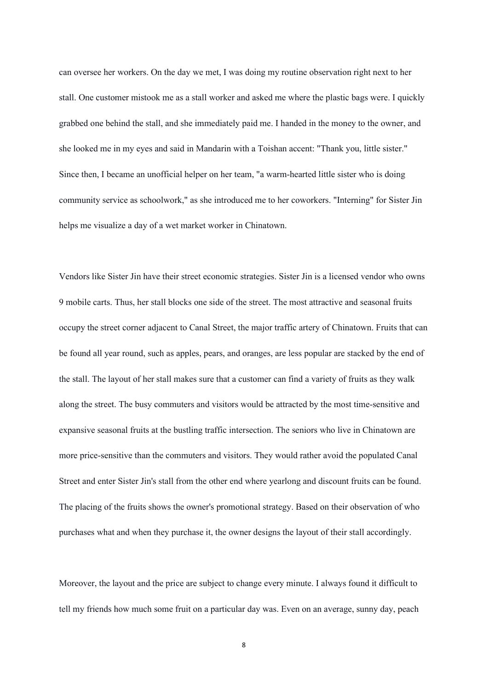can oversee her workers. On the day we met, I was doing my routine observation right next to her stall. One customer mistook me as a stall worker and asked me where the plastic bags were. I quickly grabbed one behind the stall, and she immediately paid me. I handed in the money to the owner, and she looked me in my eyes and said in Mandarin with a Toishan accent: "Thank you, little sister." Since then, I became an unofficial helper on her team, "a warm-hearted little sister who is doing community service as schoolwork," as she introduced me to her coworkers. "Interning" for Sister Jin helps me visualize a day of a wet market worker in Chinatown.

Vendors like Sister Jin have their street economic strategies. Sister Jin is a licensed vendor who owns 9 mobile carts. Thus, her stall blocks one side of the street. The most attractive and seasonal fruits occupy the street corner adjacent to Canal Street, the major traffic artery of Chinatown. Fruits that can be found all year round, such as apples, pears, and oranges, are less popular are stacked by the end of the stall. The layout of her stall makes sure that a customer can find a variety of fruits as they walk along the street. The busy commuters and visitors would be attracted by the most time-sensitive and expansive seasonal fruits at the bustling traffic intersection. The seniors who live in Chinatown are more price-sensitive than the commuters and visitors. They would rather avoid the populated Canal Street and enter Sister Jin's stall from the other end where yearlong and discount fruits can be found. The placing of the fruits shows the owner's promotional strategy. Based on their observation of who purchases what and when they purchase it, the owner designs the layout of their stall accordingly.

Moreover, the layout and the price are subject to change every minute. I always found it difficult to tell my friends how much some fruit on a particular day was. Even on an average, sunny day, peach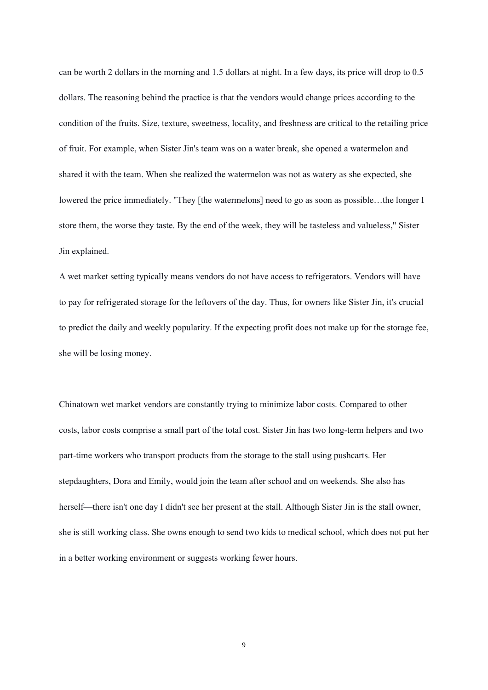can be worth 2 dollars in the morning and 1.5 dollars at night. In a few days, its price will drop to 0.5 dollars. The reasoning behind the practice is that the vendors would change prices according to the condition of the fruits. Size, texture, sweetness, locality, and freshness are critical to the retailing price of fruit. For example, when Sister Jin's team was on a water break, she opened a watermelon and shared it with the team. When she realized the watermelon was not as watery as she expected, she lowered the price immediately. "They [the watermelons] need to go as soon as possible…the longer I store them, the worse they taste. By the end of the week, they will be tasteless and valueless," Sister Jin explained.

A wet market setting typically means vendors do not have access to refrigerators. Vendors will have to pay for refrigerated storage for the leftovers of the day. Thus, for owners like Sister Jin, it's crucial to predict the daily and weekly popularity. If the expecting profit does not make up for the storage fee, she will be losing money.

Chinatown wet market vendors are constantly trying to minimize labor costs. Compared to other costs, labor costs comprise a small part of the total cost. Sister Jin has two long-term helpers and two part-time workers who transport products from the storage to the stall using pushcarts. Her stepdaughters, Dora and Emily, would join the team after school and on weekends. She also has herself—there isn't one day I didn't see her present at the stall. Although Sister Jin is the stall owner, she is still working class. She owns enough to send two kids to medical school, which does not put her in a better working environment or suggests working fewer hours.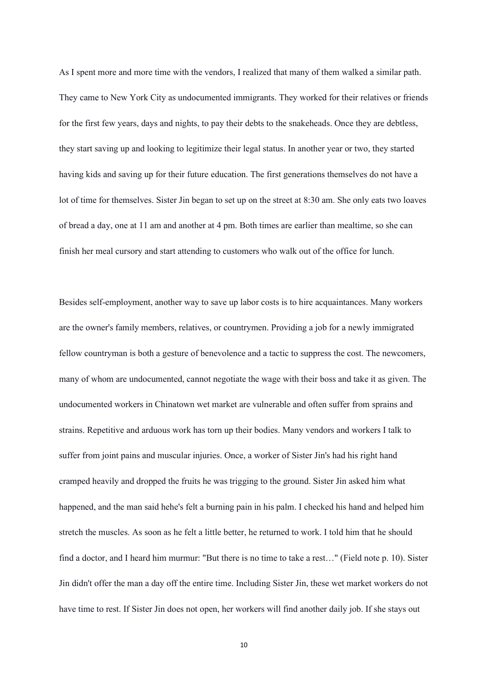As I spent more and more time with the vendors, I realized that many of them walked a similar path. They came to New York City as undocumented immigrants. They worked for their relatives or friends for the first few years, days and nights, to pay their debts to the snakeheads. Once they are debtless, they start saving up and looking to legitimize their legal status. In another year or two, they started having kids and saving up for their future education. The first generations themselves do not have a lot of time for themselves. Sister Jin began to set up on the street at 8:30 am. She only eats two loaves of bread a day, one at 11 am and another at 4 pm. Both times are earlier than mealtime, so she can finish her meal cursory and start attending to customers who walk out of the office for lunch.

Besides self-employment, another way to save up labor costs is to hire acquaintances. Many workers are the owner's family members, relatives, or countrymen. Providing a job for a newly immigrated fellow countryman is both a gesture of benevolence and a tactic to suppress the cost. The newcomers, many of whom are undocumented, cannot negotiate the wage with their boss and take it as given. The undocumented workers in Chinatown wet market are vulnerable and often suffer from sprains and strains. Repetitive and arduous work has torn up their bodies. Many vendors and workers I talk to suffer from joint pains and muscular injuries. Once, a worker of Sister Jin's had his right hand cramped heavily and dropped the fruits he was trigging to the ground. Sister Jin asked him what happened, and the man said hehe's felt a burning pain in his palm. I checked his hand and helped him stretch the muscles. As soon as he felt a little better, he returned to work. I told him that he should find a doctor, and I heard him murmur: "But there is no time to take a rest…" (Field note p. 10). Sister Jin didn't offer the man a day off the entire time. Including Sister Jin, these wet market workers do not have time to rest. If Sister Jin does not open, her workers will find another daily job. If she stays out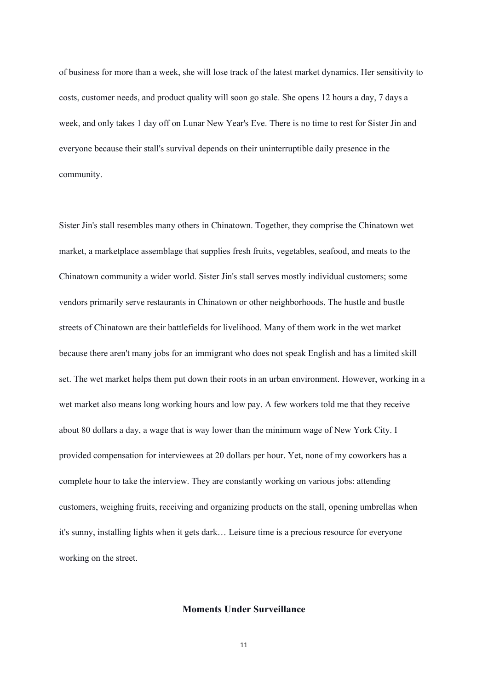of business for more than a week, she will lose track of the latest market dynamics. Her sensitivity to costs, customer needs, and product quality will soon go stale. She opens 12 hours a day, 7 days a week, and only takes 1 day off on Lunar New Year's Eve. There is no time to rest for Sister Jin and everyone because their stall's survival depends on their uninterruptible daily presence in the community.

Sister Jin's stall resembles many others in Chinatown. Together, they comprise the Chinatown wet market, a marketplace assemblage that supplies fresh fruits, vegetables, seafood, and meats to the Chinatown community a wider world. Sister Jin's stall serves mostly individual customers; some vendors primarily serve restaurants in Chinatown or other neighborhoods. The hustle and bustle streets of Chinatown are their battlefields for livelihood. Many of them work in the wet market because there aren't many jobs for an immigrant who does not speak English and has a limited skill set. The wet market helps them put down their roots in an urban environment. However, working in a wet market also means long working hours and low pay. A few workers told me that they receive about 80 dollars a day, a wage that is way lower than the minimum wage of New York City. I provided compensation for interviewees at 20 dollars per hour. Yet, none of my coworkers has a complete hour to take the interview. They are constantly working on various jobs: attending customers, weighing fruits, receiving and organizing products on the stall, opening umbrellas when it's sunny, installing lights when it gets dark… Leisure time is a precious resource for everyone working on the street.

# **Moments Under Surveillance**

11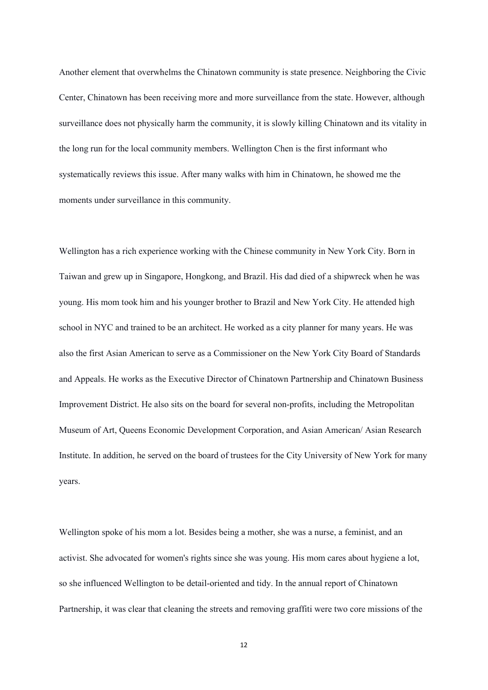Another element that overwhelms the Chinatown community is state presence. Neighboring the Civic Center, Chinatown has been receiving more and more surveillance from the state. However, although surveillance does not physically harm the community, it is slowly killing Chinatown and its vitality in the long run for the local community members. Wellington Chen is the first informant who systematically reviews this issue. After many walks with him in Chinatown, he showed me the moments under surveillance in this community.

Wellington has a rich experience working with the Chinese community in New York City. Born in Taiwan and grew up in Singapore, Hongkong, and Brazil. His dad died of a shipwreck when he was young. His mom took him and his younger brother to Brazil and New York City. He attended high school in NYC and trained to be an architect. He worked as a city planner for many years. He was also the first Asian American to serve as a Commissioner on the New York City Board of Standards and Appeals. He works as the Executive Director of Chinatown Partnership and Chinatown Business Improvement District. He also sits on the board for several non-profits, including the Metropolitan Museum of Art, Queens Economic Development Corporation, and Asian American/ Asian Research Institute. In addition, he served on the board of trustees for the City University of New York for many years.

Wellington spoke of his mom a lot. Besides being a mother, she was a nurse, a feminist, and an activist. She advocated for women's rights since she was young. His mom cares about hygiene a lot, so she influenced Wellington to be detail-oriented and tidy. In the annual report of Chinatown Partnership, it was clear that cleaning the streets and removing graffiti were two core missions of the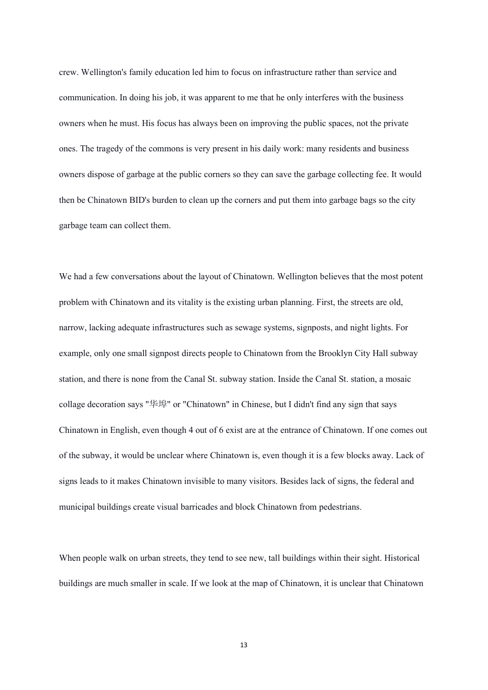crew. Wellington's family education led him to focus on infrastructure rather than service and communication. In doing his job, it was apparent to me that he only interferes with the business owners when he must. His focus has always been on improving the public spaces, not the private ones. The tragedy of the commons is very present in his daily work: many residents and business owners dispose of garbage at the public corners so they can save the garbage collecting fee. It would then be Chinatown BID's burden to clean up the corners and put them into garbage bags so the city garbage team can collect them.

We had a few conversations about the layout of Chinatown. Wellington believes that the most potent problem with Chinatown and its vitality is the existing urban planning. First, the streets are old, narrow, lacking adequate infrastructures such as sewage systems, signposts, and night lights. For example, only one small signpost directs people to Chinatown from the Brooklyn City Hall subway station, and there is none from the Canal St. subway station. Inside the Canal St. station, a mosaic collage decoration says "华埠" or "Chinatown" in Chinese, but I didn't find any sign that says Chinatown in English, even though 4 out of 6 exist are at the entrance of Chinatown. If one comes out of the subway, it would be unclear where Chinatown is, even though it is a few blocks away. Lack of signs leads to it makes Chinatown invisible to many visitors. Besides lack of signs, the federal and municipal buildings create visual barricades and block Chinatown from pedestrians.

When people walk on urban streets, they tend to see new, tall buildings within their sight. Historical buildings are much smaller in scale. If we look at the map of Chinatown, it is unclear that Chinatown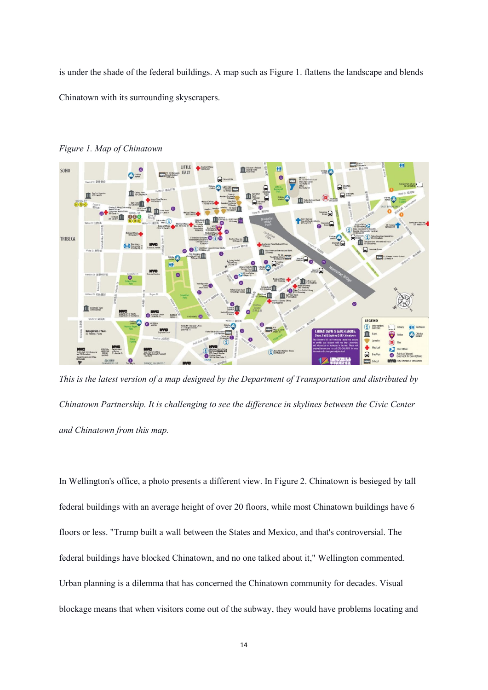is under the shade of the federal buildings. A map such as Figure 1. flattens the landscape and blends Chinatown with its surrounding skyscrapers.



*Figure 1. Map of Chinatown*

*This is the latest version of a map designed by the Department of Transportation and distributed by Chinatown Partnership. It is challenging to see the difference in skylines between the Civic Center and Chinatown from this map.*

In Wellington's office, a photo presents a different view. In Figure 2. Chinatown is besieged by tall federal buildings with an average height of over 20 floors, while most Chinatown buildings have 6 floors or less. "Trump built a wall between the States and Mexico, and that's controversial. The federal buildings have blocked Chinatown, and no one talked about it," Wellington commented. Urban planning is a dilemma that has concerned the Chinatown community for decades. Visual blockage means that when visitors come out of the subway, they would have problems locating and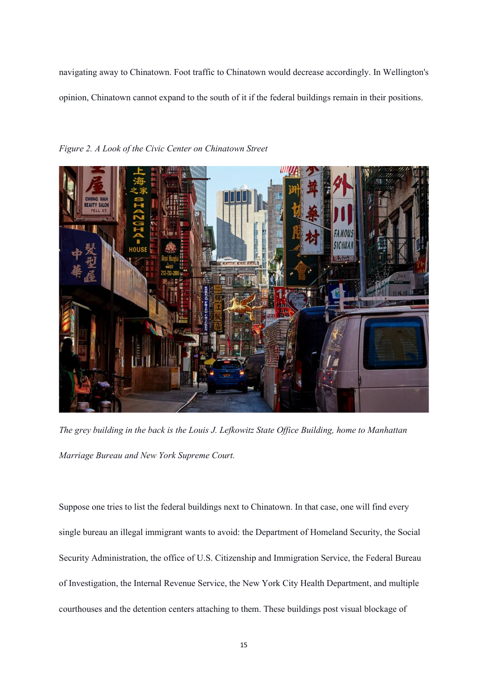navigating away to Chinatown. Foot traffic to Chinatown would decrease accordingly. In Wellington's opinion, Chinatown cannot expand to the south of it if the federal buildings remain in their positions.



*Figure 2. A Look of the Civic Center on Chinatown Street*

*The grey building in the back is the Louis J. Lefkowitz State Office Building, home to Manhattan Marriage Bureau and New York Supreme Court.*

Suppose one tries to list the federal buildings next to Chinatown. In that case, one will find every single bureau an illegal immigrant wants to avoid: the Department of Homeland Security, the Social Security Administration, the office of U.S. Citizenship and Immigration Service, the Federal Bureau of Investigation, the Internal Revenue Service, the New York City Health Department, and multiple courthouses and the detention centers attaching to them. These buildings post visual blockage of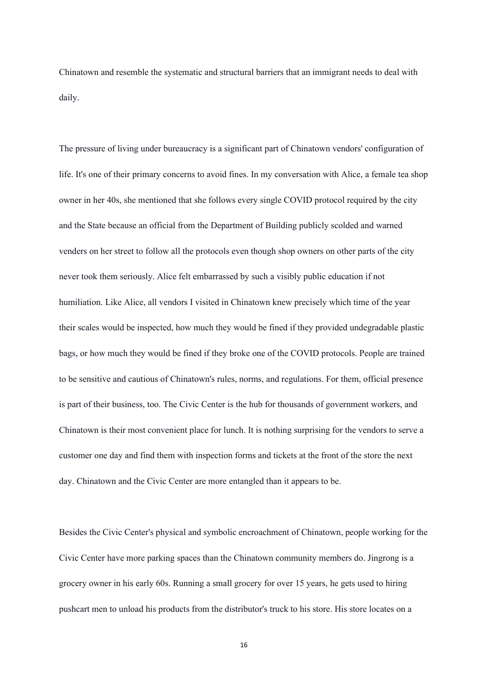Chinatown and resemble the systematic and structural barriers that an immigrant needs to deal with daily.

The pressure of living under bureaucracy is a significant part of Chinatown vendors' configuration of life. It's one of their primary concerns to avoid fines. In my conversation with Alice, a female tea shop owner in her 40s, she mentioned that she follows every single COVID protocol required by the city and the State because an official from the Department of Building publicly scolded and warned venders on her street to follow all the protocols even though shop owners on other parts of the city never took them seriously. Alice felt embarrassed by such a visibly public education if not humiliation. Like Alice, all vendors I visited in Chinatown knew precisely which time of the year their scales would be inspected, how much they would be fined if they provided undegradable plastic bags, or how much they would be fined if they broke one of the COVID protocols. People are trained to be sensitive and cautious of Chinatown's rules, norms, and regulations. For them, official presence is part of their business, too. The Civic Center is the hub for thousands of government workers, and Chinatown is their most convenient place for lunch. It is nothing surprising for the vendors to serve a customer one day and find them with inspection forms and tickets at the front of the store the next day. Chinatown and the Civic Center are more entangled than it appears to be.

Besides the Civic Center's physical and symbolic encroachment of Chinatown, people working for the Civic Center have more parking spaces than the Chinatown community members do. Jingrong is a grocery owner in his early 60s. Running a small grocery for over 15 years, he gets used to hiring pushcart men to unload his products from the distributor's truck to his store. His store locates on a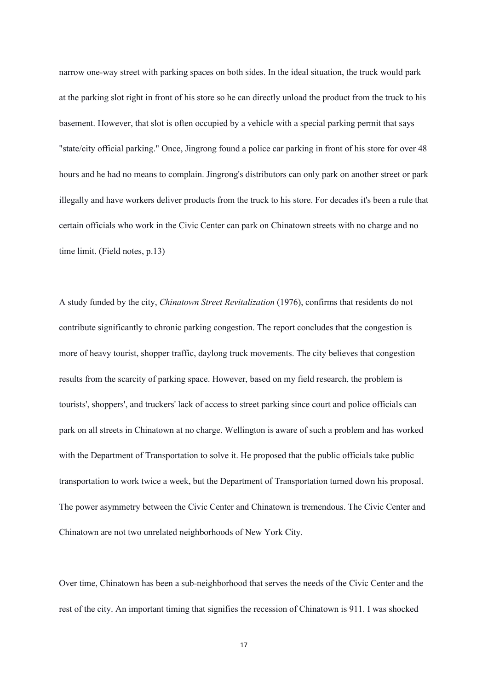narrow one-way street with parking spaces on both sides. In the ideal situation, the truck would park at the parking slot right in front of his store so he can directly unload the product from the truck to his basement. However, that slot is often occupied by a vehicle with a special parking permit that says "state/city official parking." Once, Jingrong found a police car parking in front of his store for over 48 hours and he had no means to complain. Jingrong's distributors can only park on another street or park illegally and have workers deliver products from the truck to his store. For decades it's been a rule that certain officials who work in the Civic Center can park on Chinatown streets with no charge and no time limit. (Field notes, p.13)

A study funded by the city, *Chinatown Street Revitalization* (1976), confirms that residents do not contribute significantly to chronic parking congestion. The report concludes that the congestion is more of heavy tourist, shopper traffic, daylong truck movements. The city believes that congestion results from the scarcity of parking space. However, based on my field research, the problem is tourists', shoppers', and truckers' lack of access to street parking since court and police officials can park on all streets in Chinatown at no charge. Wellington is aware of such a problem and has worked with the Department of Transportation to solve it. He proposed that the public officials take public transportation to work twice a week, but the Department of Transportation turned down his proposal. The power asymmetry between the Civic Center and Chinatown is tremendous. The Civic Center and Chinatown are not two unrelated neighborhoods of New York City.

Over time, Chinatown has been a sub-neighborhood that serves the needs of the Civic Center and the rest of the city. An important timing that signifies the recession of Chinatown is 911. I was shocked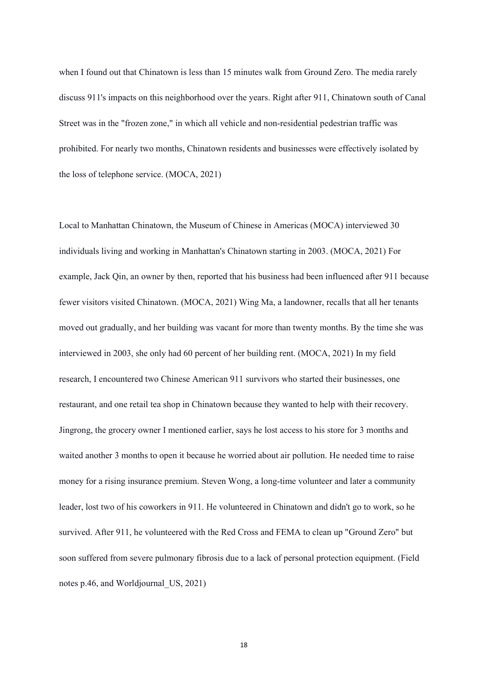when I found out that Chinatown is less than 15 minutes walk from Ground Zero. The media rarely discuss 911's impacts on this neighborhood over the years. Right after 911, Chinatown south of Canal Street was in the "frozen zone," in which all vehicle and non-residential pedestrian traffic was prohibited. For nearly two months, Chinatown residents and businesses were effectively isolated by the loss of telephone service. (MOCA, 2021)

Local to Manhattan Chinatown, the Museum of Chinese in Americas (MOCA) interviewed 30 individuals living and working in Manhattan's Chinatown starting in 2003. (MOCA, 2021) For example, Jack Qin, an owner by then, reported that his business had been influenced after 911 because fewer visitors visited Chinatown. (MOCA, 2021) Wing Ma, a landowner, recalls that all her tenants moved out gradually, and her building was vacant for more than twenty months. By the time she was interviewed in 2003, she only had 60 percent of her building rent. (MOCA, 2021) In my field research, I encountered two Chinese American 911 survivors who started their businesses, one restaurant, and one retail tea shop in Chinatown because they wanted to help with their recovery. Jingrong, the grocery owner I mentioned earlier, says he lost access to his store for 3 months and waited another 3 months to open it because he worried about air pollution. He needed time to raise money for a rising insurance premium. Steven Wong, a long-time volunteer and later a community leader, lost two of his coworkers in 911. He volunteered in Chinatown and didn't go to work, so he survived. After 911, he volunteered with the Red Cross and FEMA to clean up "Ground Zero" but soon suffered from severe pulmonary fibrosis due to a lack of personal protection equipment. (Field notes p.46, and Worldjournal\_US, 2021)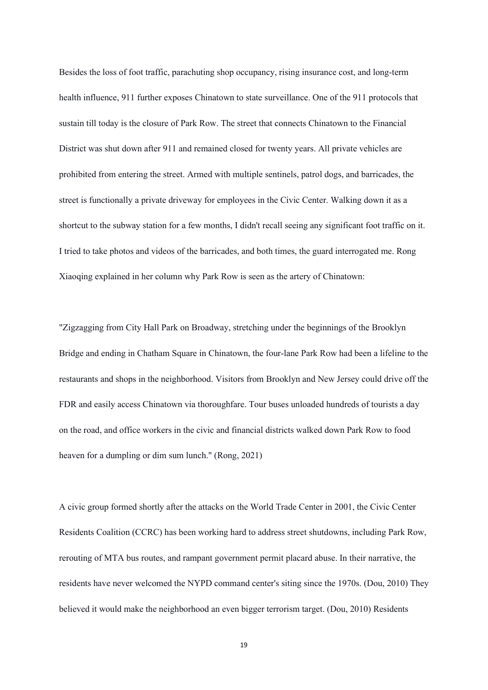Besides the loss of foot traffic, parachuting shop occupancy, rising insurance cost, and long-term health influence, 911 further exposes Chinatown to state surveillance. One of the 911 protocols that sustain till today is the closure of Park Row. The street that connects Chinatown to the Financial District was shut down after 911 and remained closed for twenty years. All private vehicles are prohibited from entering the street. Armed with multiple sentinels, patrol dogs, and barricades, the street is functionally a private driveway for employees in the Civic Center. Walking down it as a shortcut to the subway station for a few months, I didn't recall seeing any significant foot traffic on it. I tried to take photos and videos of the barricades, and both times, the guard interrogated me. Rong Xiaoqing explained in her column why Park Row is seen as the artery of Chinatown:

"Zigzagging from City Hall Park on Broadway, stretching under the beginnings of the Brooklyn Bridge and ending in Chatham Square in Chinatown, the four-lane Park Row had been a lifeline to the restaurants and shops in the neighborhood. Visitors from Brooklyn and New Jersey could drive off the FDR and easily access Chinatown via thoroughfare. Tour buses unloaded hundreds of tourists a day on the road, and office workers in the civic and financial districts walked down Park Row to food heaven for a dumpling or dim sum lunch." (Rong, 2021)

A civic group formed shortly after the attacks on the World Trade Center in 2001, the Civic Center Residents Coalition (CCRC) has been working hard to address street shutdowns, including Park Row, rerouting of MTA bus routes, and rampant government permit placard abuse. In their narrative, the residents have never welcomed the NYPD command center's siting since the 1970s. (Dou, 2010) They believed it would make the neighborhood an even bigger terrorism target. (Dou, 2010) Residents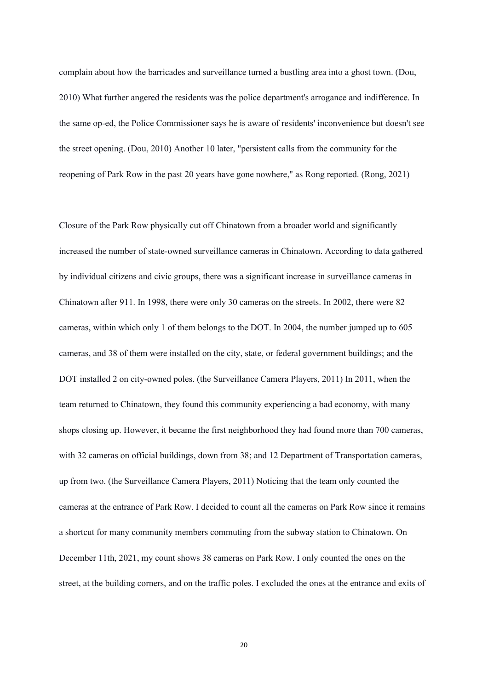complain about how the barricades and surveillance turned a bustling area into a ghost town. (Dou, 2010) What further angered the residents was the police department's arrogance and indifference. In the same op-ed, the Police Commissioner says he is aware of residents' inconvenience but doesn't see the street opening. (Dou, 2010) Another 10 later, "persistent calls from the community for the reopening of Park Row in the past 20 years have gone nowhere," as Rong reported. (Rong, 2021)

Closure of the Park Row physically cut off Chinatown from a broader world and significantly increased the number of state-owned surveillance cameras in Chinatown. According to data gathered by individual citizens and civic groups, there was a significant increase in surveillance cameras in Chinatown after 911. In 1998, there were only 30 cameras on the streets. In 2002, there were 82 cameras, within which only 1 of them belongs to the DOT. In 2004, the number jumped up to 605 cameras, and 38 of them were installed on the city, state, or federal government buildings; and the DOT installed 2 on city-owned poles. (the Surveillance Camera Players, 2011) In 2011, when the team returned to Chinatown, they found this community experiencing a bad economy, with many shops closing up. However, it became the first neighborhood they had found more than 700 cameras, with 32 cameras on official buildings, down from 38; and 12 Department of Transportation cameras, up from two. (the Surveillance Camera Players, 2011) Noticing that the team only counted the cameras at the entrance of Park Row. I decided to count all the cameras on Park Row since it remains a shortcut for many community members commuting from the subway station to Chinatown. On December 11th, 2021, my count shows 38 cameras on Park Row. I only counted the ones on the street, at the building corners, and on the traffic poles. I excluded the ones at the entrance and exits of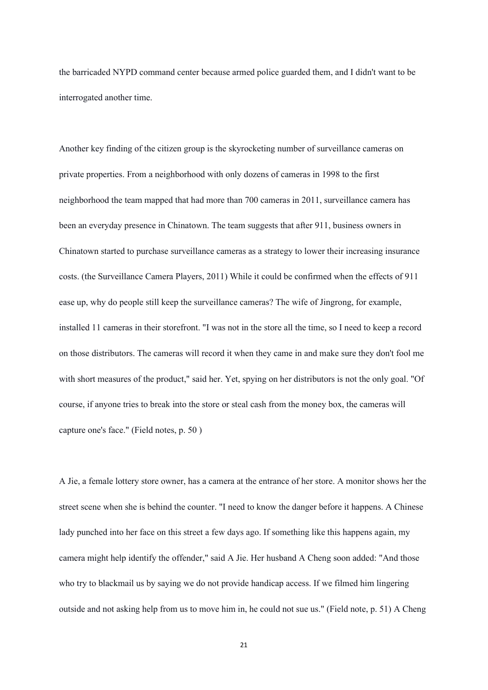the barricaded NYPD command center because armed police guarded them, and I didn't want to be interrogated another time.

Another key finding of the citizen group is the skyrocketing number of surveillance cameras on private properties. From a neighborhood with only dozens of cameras in 1998 to the first neighborhood the team mapped that had more than 700 cameras in 2011, surveillance camera has been an everyday presence in Chinatown. The team suggests that after 911, business owners in Chinatown started to purchase surveillance cameras as a strategy to lower their increasing insurance costs. (the Surveillance Camera Players, 2011) While it could be confirmed when the effects of 911 ease up, why do people still keep the surveillance cameras? The wife of Jingrong, for example, installed 11 cameras in their storefront. "I was not in the store all the time, so I need to keep a record on those distributors. The cameras will record it when they came in and make sure they don't fool me with short measures of the product," said her. Yet, spying on her distributors is not the only goal. "Of course, if anyone tries to break into the store or steal cash from the money box, the cameras will capture one's face." (Field notes, p. 50 )

A Jie, a female lottery store owner, has a camera at the entrance of her store. A monitor shows her the street scene when she is behind the counter. "I need to know the danger before it happens. A Chinese lady punched into her face on this street a few days ago. If something like this happens again, my camera might help identify the offender," said A Jie. Her husband A Cheng soon added: "And those who try to blackmail us by saying we do not provide handicap access. If we filmed him lingering outside and not asking help from us to move him in, he could not sue us." (Field note, p. 51) A Cheng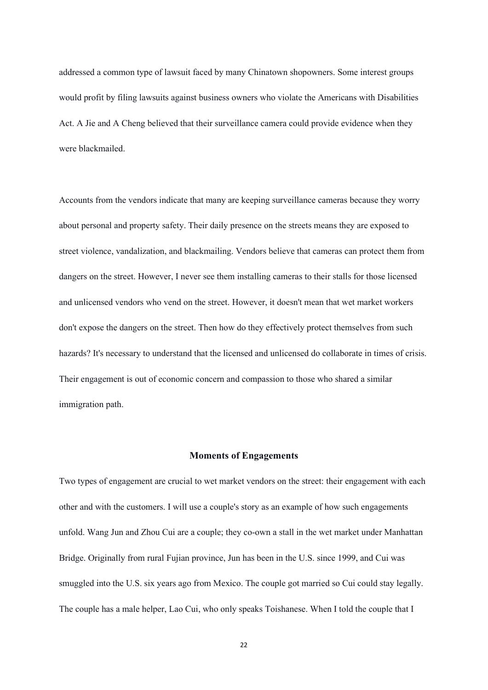addressed a common type of lawsuit faced by many Chinatown shopowners. Some interest groups would profit by filing lawsuits against business owners who violate the Americans with Disabilities Act. A Jie and A Cheng believed that their surveillance camera could provide evidence when they were blackmailed.

Accounts from the vendors indicate that many are keeping surveillance cameras because they worry about personal and property safety. Their daily presence on the streets means they are exposed to street violence, vandalization, and blackmailing. Vendors believe that cameras can protect them from dangers on the street. However, I never see them installing cameras to their stalls for those licensed and unlicensed vendors who vend on the street. However, it doesn't mean that wet market workers don't expose the dangers on the street. Then how do they effectively protect themselves from such hazards? It's necessary to understand that the licensed and unlicensed do collaborate in times of crisis. Their engagement is out of economic concern and compassion to those who shared a similar immigration path.

### **Moments of Engagements**

Two types of engagement are crucial to wet market vendors on the street: their engagement with each other and with the customers. I will use a couple's story as an example of how such engagements unfold. Wang Jun and Zhou Cui are a couple; they co-own a stall in the wet market under Manhattan Bridge. Originally from rural Fujian province, Jun has been in the U.S. since 1999, and Cui was smuggled into the U.S. six years ago from Mexico. The couple got married so Cui could stay legally. The couple has a male helper, Lao Cui, who only speaks Toishanese. When I told the couple that I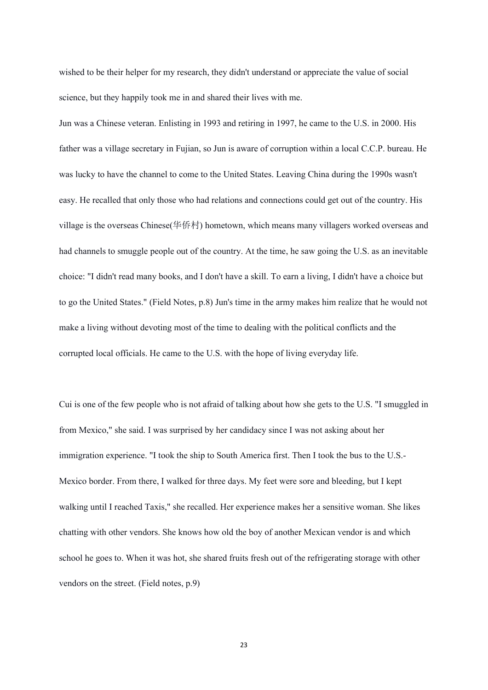wished to be their helper for my research, they didn't understand or appreciate the value of social science, but they happily took me in and shared their lives with me.

Jun was a Chinese veteran. Enlisting in 1993 and retiring in 1997, he came to the U.S. in 2000. His father was a village secretary in Fujian, so Jun is aware of corruption within a local C.C.P. bureau. He was lucky to have the channel to come to the United States. Leaving China during the 1990s wasn't easy. He recalled that only those who had relations and connections could get out of the country. His village is the overseas Chinese(华侨村) hometown, which means many villagers worked overseas and had channels to smuggle people out of the country. At the time, he saw going the U.S. as an inevitable choice: "I didn't read many books, and I don't have a skill. To earn a living, I didn't have a choice but to go the United States." (Field Notes, p.8) Jun's time in the army makes him realize that he would not make a living without devoting most of the time to dealing with the political conflicts and the corrupted local officials. He came to the U.S. with the hope of living everyday life.

Cui is one of the few people who is not afraid of talking about how she gets to the U.S. "I smuggled in from Mexico," she said. I was surprised by her candidacy since I was not asking about her immigration experience. "I took the ship to South America first. Then I took the bus to the U.S.- Mexico border. From there, I walked for three days. My feet were sore and bleeding, but I kept walking until I reached Taxis," she recalled. Her experience makes her a sensitive woman. She likes chatting with other vendors. She knows how old the boy of another Mexican vendor is and which school he goes to. When it was hot, she shared fruits fresh out of the refrigerating storage with other vendors on the street. (Field notes, p.9)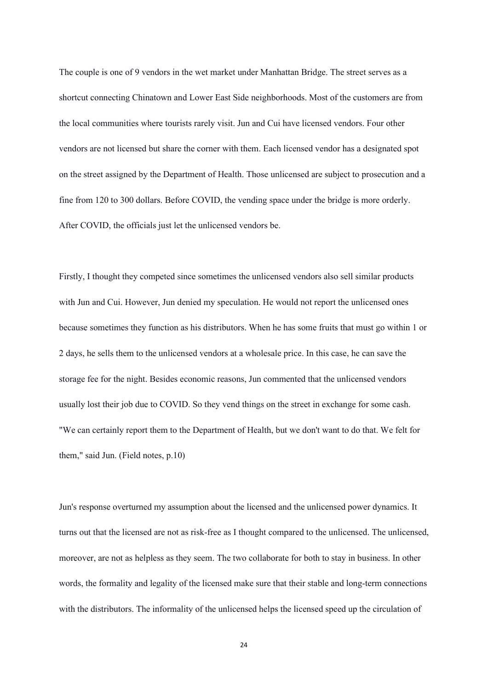The couple is one of 9 vendors in the wet market under Manhattan Bridge. The street serves as a shortcut connecting Chinatown and Lower East Side neighborhoods. Most of the customers are from the local communities where tourists rarely visit. Jun and Cui have licensed vendors. Four other vendors are not licensed but share the corner with them. Each licensed vendor has a designated spot on the street assigned by the Department of Health. Those unlicensed are subject to prosecution and a fine from 120 to 300 dollars. Before COVID, the vending space under the bridge is more orderly. After COVID, the officials just let the unlicensed vendors be.

Firstly, I thought they competed since sometimes the unlicensed vendors also sell similar products with Jun and Cui. However, Jun denied my speculation. He would not report the unlicensed ones because sometimes they function as his distributors. When he has some fruits that must go within 1 or 2 days, he sells them to the unlicensed vendors at a wholesale price. In this case, he can save the storage fee for the night. Besides economic reasons, Jun commented that the unlicensed vendors usually lost their job due to COVID. So they vend things on the street in exchange for some cash. "We can certainly report them to the Department of Health, but we don't want to do that. We felt for them," said Jun. (Field notes, p.10)

Jun's response overturned my assumption about the licensed and the unlicensed power dynamics. It turns out that the licensed are not as risk-free as I thought compared to the unlicensed. The unlicensed, moreover, are not as helpless as they seem. The two collaborate for both to stay in business. In other words, the formality and legality of the licensed make sure that their stable and long-term connections with the distributors. The informality of the unlicensed helps the licensed speed up the circulation of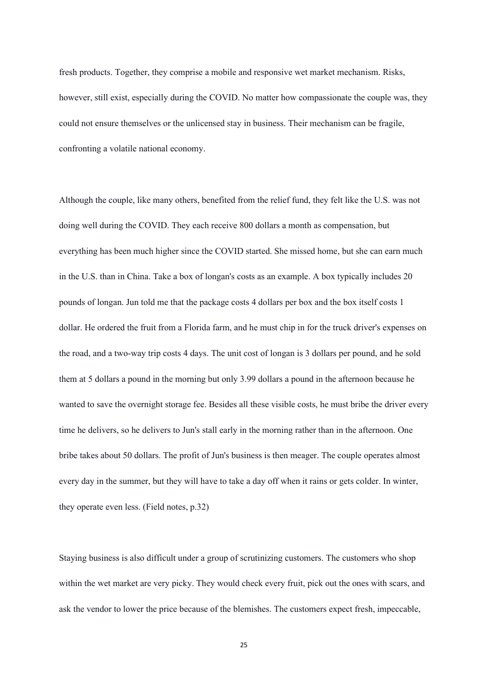fresh products. Together, they comprise a mobile and responsive wet market mechanism. Risks, however, still exist, especially during the COVID. No matter how compassionate the couple was, they could not ensure themselves or the unlicensed stay in business. Their mechanism can be fragile, confronting a volatile national economy.

Although the couple, like many others, benefited from the relief fund, they felt like the U.S. was not doing well during the COVID. They each receive 800 dollars a month as compensation, but everything has been much higher since the COVID started. She missed home, but she can earn much in the U.S. than in China. Take a box of longan's costs as an example. A box typically includes 20 pounds of longan. Jun told me that the package costs 4 dollars per box and the box itself costs 1 dollar. He ordered the fruit from a Florida farm, and he must chip in for the truck driver's expenses on the road, and a two-way trip costs 4 days. The unit cost of longan is 3 dollars per pound, and he sold them at 5 dollars a pound in the morning but only 3.99 dollars a pound in the afternoon because he wanted to save the overnight storage fee. Besides all these visible costs, he must bribe the driver every time he delivers, so he delivers to Jun's stall early in the morning rather than in the afternoon. One bribe takes about 50 dollars. The profit of Jun's business is then meager. The couple operates almost every day in the summer, but they will have to take a day off when it rains or gets colder. In winter, they operate even less. (Field notes, p.32)

Staying business is also difficult under a group of scrutinizing customers. The customers who shop within the wet market are very picky. They would check every fruit, pick out the ones with scars, and ask the vendor to lower the price because of the blemishes. The customers expect fresh, impeccable,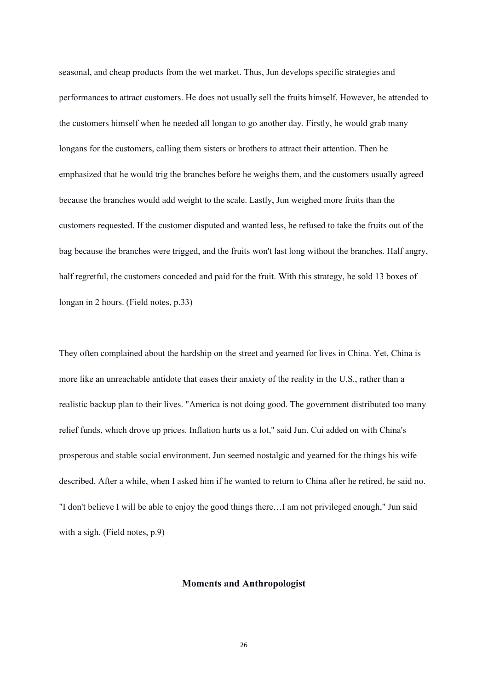seasonal, and cheap products from the wet market. Thus, Jun develops specific strategies and performances to attract customers. He does not usually sell the fruits himself. However, he attended to the customers himself when he needed all longan to go another day. Firstly, he would grab many longans for the customers, calling them sisters or brothers to attract their attention. Then he emphasized that he would trig the branches before he weighs them, and the customers usually agreed because the branches would add weight to the scale. Lastly, Jun weighed more fruits than the customers requested. If the customer disputed and wanted less, he refused to take the fruits out of the bag because the branches were trigged, and the fruits won't last long without the branches. Half angry, half regretful, the customers conceded and paid for the fruit. With this strategy, he sold 13 boxes of longan in 2 hours. (Field notes, p.33)

They often complained about the hardship on the street and yearned for lives in China. Yet, China is more like an unreachable antidote that eases their anxiety of the reality in the U.S., rather than a realistic backup plan to their lives. "America is not doing good. The government distributed too many relief funds, which drove up prices. Inflation hurts us a lot," said Jun. Cui added on with China's prosperous and stable social environment. Jun seemed nostalgic and yearned for the things his wife described. After a while, when I asked him if he wanted to return to China after he retired, he said no. "I don't believe I will be able to enjoy the good things there…I am not privileged enough," Jun said with a sigh. (Field notes, p.9)

#### **Moments and Anthropologist**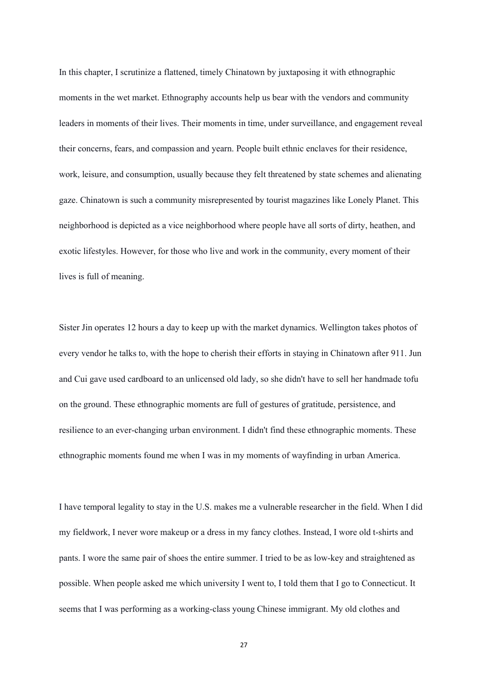In this chapter, I scrutinize a flattened, timely Chinatown by juxtaposing it with ethnographic moments in the wet market. Ethnography accounts help us bear with the vendors and community leaders in moments of their lives. Their moments in time, under surveillance, and engagement reveal their concerns, fears, and compassion and yearn. People built ethnic enclaves for their residence, work, leisure, and consumption, usually because they felt threatened by state schemes and alienating gaze. Chinatown is such a community misrepresented by tourist magazines like Lonely Planet. This neighborhood is depicted as a vice neighborhood where people have all sorts of dirty, heathen, and exotic lifestyles. However, for those who live and work in the community, every moment of their lives is full of meaning.

Sister Jin operates 12 hours a day to keep up with the market dynamics. Wellington takes photos of every vendor he talks to, with the hope to cherish their efforts in staying in Chinatown after 911. Jun and Cui gave used cardboard to an unlicensed old lady, so she didn't have to sell her handmade tofu on the ground. These ethnographic moments are full of gestures of gratitude, persistence, and resilience to an ever-changing urban environment. I didn't find these ethnographic moments. These ethnographic moments found me when I was in my moments of wayfinding in urban America.

I have temporal legality to stay in the U.S. makes me a vulnerable researcher in the field. When I did my fieldwork, I never wore makeup or a dress in my fancy clothes. Instead, I wore old t-shirts and pants. I wore the same pair of shoes the entire summer. I tried to be as low-key and straightened as possible. When people asked me which university I went to, I told them that I go to Connecticut. It seems that I was performing as a working-class young Chinese immigrant. My old clothes and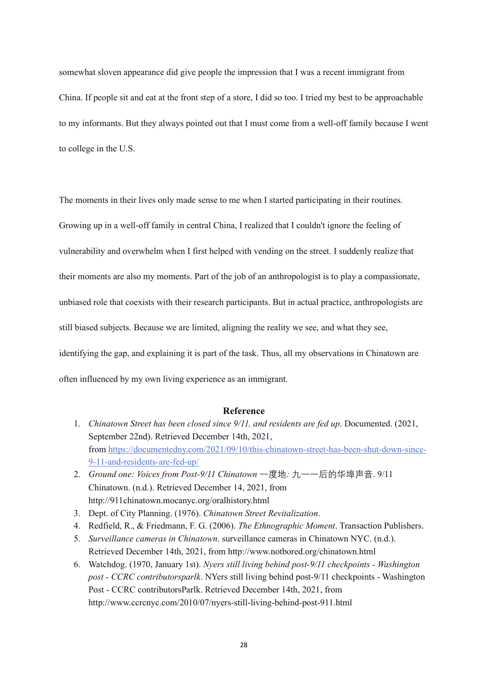somewhat sloven appearance did give people the impression that I was a recent immigrant from China. If people sit and eat at the front step of a store, I did so too. I tried my best to be approachable to my informants. But they always pointed out that I must come from a well-off family because I went to college in the U.S.

The moments in their lives only made sense to me when I started participating in their routines. Growing up in a well-off family in central China, I realized that I couldn't ignore the feeling of vulnerability and overwhelm when I first helped with vending on the street. I suddenly realize that their moments are also my moments. Part of the job of an anthropologist is to play a compassionate, unbiased role that coexists with their research participants. But in actual practice, anthropologists are still biased subjects. Because we are limited, aligning the reality we see, and what they see, identifying the gap, and explaining it is part of the task. Thus, all my observations in Chinatown are often influenced by my own living experience as an immigrant.

### **Reference**

- 1. *Chinatown Street has been closed since 9/11, and residents are fed up*. Documented. (2021, September 22nd). Retrieved December 14th, 2021, from [https://documentedny.com/2021/09/10/this-chinatown-street-has-been-shut-down-since-](https://documentedny.com/2021/09/10/this-chinatown-street-has-been-shut-down-since-9-11-and-residents-are-fed-up/)[9-11-and-residents-are-fed-up/](https://documentedny.com/2021/09/10/this-chinatown-street-has-been-shut-down-since-9-11-and-residents-are-fed-up/)
- 2. *Ground one: Voices from Post-9/11 Chinatown* 一度地*:* 九一一后的华埠声音. 9/11 Chinatown. (n.d.). Retrieved December 14, 2021, from http://911chinatown.mocanyc.org/oralhistory.html
- 3. Dept. of City Planning. (1976). *Chinatown Street Revitalization*.
- 4. Redfield, R., & Friedmann, F. G. (2006). *The Ethnographic Moment*. Transaction Publishers.
- 5. *Surveillance cameras in Chinatown*. surveillance cameras in Chinatown NYC. (n.d.). Retrieved December 14th, 2021, from http://www.notbored.org/chinatown.html
- 6. Watchdog. (1970, January 1st). *Nyers still living behind post-9/11 checkpoints - Washington post - CCRC contributorsparlk*. NYers still living behind post-9/11 checkpoints - Washington Post - CCRC contributorsParlk. Retrieved December 14th, 2021, from http://www.ccrcnyc.com/2010/07/nyers-still-living-behind-post-911.html